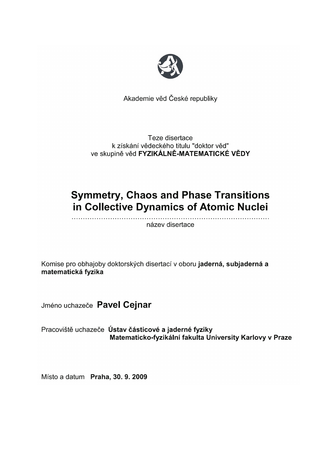

Akademie věd České republiky

Teze disertace k získání vědeckého titulu "doktor věd" ve skupině věd FYZIKÁLNĚ-MATEMATICKÉ VĚDY

# **Symmetry, Chaos and Phase Transitions** in Collective Dynamics of Atomic Nuclei

název disertace

Komise pro obhajoby doktorských disertací v oboru jaderná, subjaderná a matematická fyzika

Jméno uchazeče Pavel Cejnar

Pracoviště uchazeče Ústav částicové a jaderné fyziky Matematicko-fyzikální fakulta University Karlovy v Praze

Místo a datum Praha, 30. 9. 2009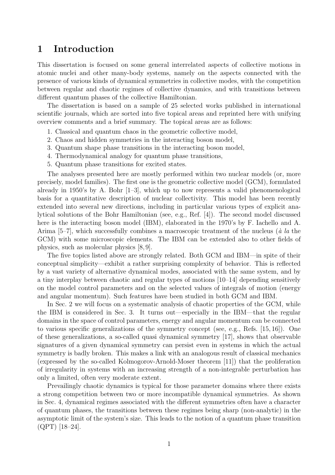#### 1 Introduction

This dissertation is focused on some general interrelated aspects of collective motions in atomic nuclei and other many-body systems, namely on the aspects connected with the presence of various kinds of dynamical symmetries in collective modes, with the competition between regular and chaotic regimes of collective dynamics, and with transitions between different quantum phases of the collective Hamiltonian.

The dissertation is based on a sample of 25 selected works published in international scientific journals, which are sorted into five topical areas and reprinted here with unifying overview comments and a brief summary. The topical areas are as follows:

- 1. Classical and quantum chaos in the geometric collective model,
- 2. Chaos and hidden symmetries in the interacting boson model,
- 3. Quantum shape phase transitions in the interacting boson model,
- 4. Thermodynamical analogy for quantum phase transitions,
- 5. Quantum phase transitions for excited states.

The analyses presented here are mostly performed within two nuclear models (or, more precisely, model families). The first one is the geometric collective model (GCM), formulated already in 1950's by A. Bohr  $[1-3]$ , which up to now represents a valid phenomenological basis for a quantitative description of nuclear collectivity. This model has been recently extended into several new directions, including in particular various types of explicit analytical solutions of the Bohr Hamiltonian (see, e.g., Ref. [4]). The second model discussed here is the interacting boson model (IBM), elaborated in the 1970's by F. Iachello and A. Arima  $[5–7]$ , which successfully combines a macroscopic treatment of the nucleus ( $\dot{a}$  la the GCM) with some microscopic elements. The IBM can be extended also to other fields of physics, such as molecular physics [8, 9].

The five topics listed above are strongly related. Both GCM and IBM—in spite of their conceptual simplicity—exhibit a rather surprising complexity of behavior. This is reflected by a vast variety of alternative dynamical modes, associated with the same system, and by a tiny interplay between chaotic and regular types of motions [10–14] depending sensitively on the model control parameters and on the selected values of integrals of motion (energy and angular momentum). Such features have been studied in both GCM and IBM.

In Sec. 2 we will focus on a systematic analysis of chaotic properties of the GCM, while the IBM is considered in Sec. 3. It turns out—especially in the IBM—that the regular domains in the space of control parameters, energy and angular momentum can be connected to various specific generalizations of the symmetry concept (see, e.g., Refs. [15, 16]). One of these generalizations, a so-called quasi dynamical symmetry [17], shows that observable signatures of a given dynamical symmetry can persist even in systems in which the actual symmetry is badly broken. This makes a link with an analogous result of classical mechanics (expressed by the so-called Kolmogorov-Arnold-Moser theorem [11]) that the proliferation of irregularity in systems with an increasing strength of a non-integrable perturbation has only a limited, often very moderate extent.

Prevailingly chaotic dynamics is typical for those parameter domains where there exists a strong competition between two or more incompatible dynamical symmetries. As shown in Sec. 4, dynamical regimes associated with the different symmetries often have a character of quantum phases, the transitions between these regimes being sharp (non-analytic) in the asymptotic limit of the system's size. This leads to the notion of a quantum phase transition (QPT) [18–24].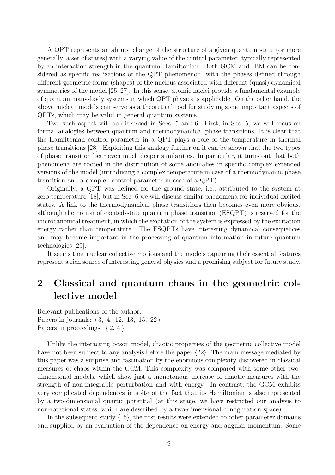A QPT represents an abrupt change of the structure of a given quantum state (or more generally, a set of states) with a varying value of the control parameter, typically represented by an interaction strength in the quantum Hamiltonian. Both GCM and IBM can be considered as specific realizations of the QPT phenomenon, with the phases defined through different geometric forms (shapes) of the nucleus associated with different (quasi) dynamical symmetries of the model [25–27]. In this sense, atomic nuclei provide a fundamental example of quantum many-body systems in which QPT physics is applicable. On the other hand, the above nuclear models can serve as a theoretical tool for studying some important aspects of QPTs, which may be valid in general quantum systems.

Two such aspect will be discussed in Secs. 5 and 6. First, in Sec. 5, we will focus on formal analogies between quantum and thermodynamical phase transitions. It is clear that the Hamiltonian control parameter in a QPT plays a role of the temperature in thermal phase transitions [28]. Exploiting this analogy further on it can be shown that the two types of phase transition bear even much deeper similarities. In particular, it turns out that both phenomena are rooted in the distribution of some anomalies in specific complex extended versions of the model (introducing a complex temperature in case of a thermodynamic phase transition and a complex control parameter in case of a QPT).

Originally, a QPT was defined for the ground state, i.e., attributed to the system at zero temperature [18], but in Sec. 6 we will discuss similar phenomena for individual excited states. A link to the thermodynamical phase transitions then becomes even more obvious, although the notion of excited-state quantum phase transition (ESQPT) is reserved for the microcanonical treatment, in which the excitation of the system is expressed by the excitation energy rather than temperature. The ESQPTs have interesting dynamical consequences and may become important in the processing of quantum information in future quantum technologies [29].

It seems that nuclear collective motions and the models capturing their essential features represent a rich source of interesting general physics and a promising subject for future study.

# 2 Classical and quantum chaos in the geometric collective model

Relevant publications of the author: Papers in journals:  $\langle 3, 4, 12, 13, 15, 22 \rangle$ Papers in proceedings:  $\{2, 4\}$ 

Unlike the interacting boson model, chaotic properties of the geometric collective model have not been subject to any analysis before the paper  $\langle 22 \rangle$ . The main message mediated by this paper was a surprise and fascination by the enormous complexity discovered in classical measures of chaos within the GCM. This complexity was compared with some other twodimensional models, which show just a monotonous increase of chaotic measures with the strength of non-integrable perturbation and with energy. In contrast, the GCM exhibits very complicated dependences in spite of the fact that its Hamiltonian is also represented by a two-dimensional quartic potential (at this stage, we have restricted our analysis to non-rotational states, which are described by a two-dimensional configuration space).

In the subsequent study  $\langle 15 \rangle$ , the first results were extended to other parameter domains and supplied by an evaluation of the dependence on energy and angular momentum. Some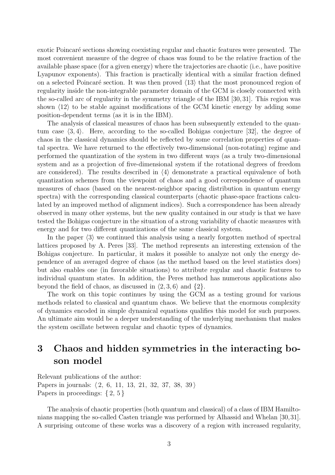exotic Poincaré sections showing coexisting regular and chaotic features were presented. The most convenient measure of the degree of chaos was found to be the relative fraction of the available phase space (for a given energy) where the trajectories are chaotic (i.e., have positive Lyapunov exponents). This fraction is practically identical with a similar fraction defined on a selected Poincaré section. It was then proved  $\langle 13 \rangle$  that the most pronounced region of regularity inside the non-integrable parameter domain of the GCM is closely connected with the so-called arc of regularity in the symmetry triangle of the IBM [30,31]. This region was shown  $\langle 12 \rangle$  to be stable against modifications of the GCM kinetic energy by adding some position-dependent terms (as it is in the IBM).

The analysis of classical measures of chaos has been subsequently extended to the quantum case  $\langle 3, 4 \rangle$ . Here, according to the so-called Bohigas conjecture [32], the degree of chaos in the classical dynamics should be reflected by some correlation properties of quantal spectra. We have returned to the effectively two-dimensional (non-rotating) regime and performed the quantization of the system in two different ways (as a truly two-dimensional system and as a projection of five-dimensional system if the rotational degrees of freedom are considered). The results described in  $\langle 4 \rangle$  demonstrate a practical equivalence of both quantization schemes from the viewpoint of chaos and a good correspondence of quantum measures of chaos (based on the nearest-neighbor spacing distribution in quantum energy spectra) with the corresponding classical counterparts (chaotic phase-space fractions calculated by an improved method of alignment indices). Such a correspondence has been already observed in many other systems, but the new quality contained in our study is that we have tested the Bohigas conjecture in the situation of a strong variability of chaotic measures with energy and for two different quantizations of the same classical system.

In the paper  $\langle 3 \rangle$  we continued this analysis using a nearly forgotten method of spectral lattices proposed by A. Peres [33]. The method represents an interesting extension of the Bohigas conjecture. In particular, it makes it possible to analyze not only the energy dependence of an averaged degree of chaos (as the method based on the level statistics does) but also enables one (in favorable situations) to attribute regular and chaotic features to individual quantum states. In addition, the Peres method has numerous applications also beyond the field of chaos, as discussed in  $\langle 2, 3, 6 \rangle$  and  $\{2\}$ .

The work on this topic continues by using the GCM as a testing ground for various methods related to classical and quantum chaos. We believe that the enormous complexity of dynamics encoded in simple dynamical equations qualifies this model for such purposes. An ultimate aim would be a deeper understanding of the underlying mechanism that makes the system oscillate between regular and chaotic types of dynamics.

### 3 Chaos and hidden symmetries in the interacting boson model

Relevant publications of the author: Papers in journals:  $\langle 2, 6, 11, 13, 21, 32, 37, 38, 39 \rangle$ Papers in proceedings:  $\{2, 5\}$ 

The analysis of chaotic properties (both quantum and classical) of a class of IBM Hamiltonians mapping the so-called Casten triangle was performed by Alhassid and Whelan [30,31]. A surprising outcome of these works was a discovery of a region with increased regularity,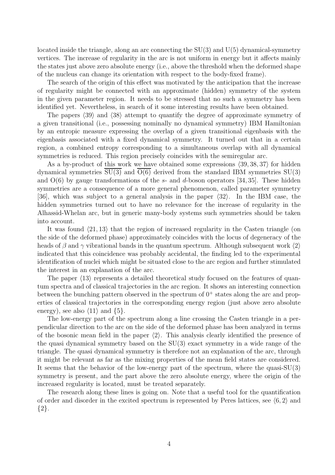located inside the triangle, along an arc connecting the  $SU(3)$  and  $U(5)$  dynamical-symmetry vertices. The increase of regularity in the arc is not uniform in energy but it affects mainly the states just above zero absolute energy (i.e., above the threshold when the deformed shape of the nucleus can change its orientation with respect to the body-fixed frame).

The search of the origin of this effect was motivated by the anticipation that the increase of regularity might be connected with an approximate (hidden) symmetry of the system in the given parameter region. It needs to be stressed that no such a symmetry has been identified yet. Nevertheless, in search of it some interesting results have been obtained.

The papers  $\langle 39 \rangle$  and  $\langle 38 \rangle$  attempt to quantify the degree of approximate symmetry of a given transitional (i.e., possessing nominally no dynamical symmetry) IBM Hamiltonian by an entropic measure expressing the overlap of a given transitional eigenbasis with the eigenbasis associated with a fixed dynamical symmetry. It turned out that in a certain region, a combined entropy corresponding to a simultaneous overlap with all dynamical symmetries is reduced. This region precisely coincides with the semiregular arc.

As a by-product of this work we have obtained some expressions  $\langle 39, 38, 37 \rangle$  for hidden dynamical symmetries  $SU(3)$  and  $O(6)$  derived from the standard IBM symmetries  $SU(3)$ and  $O(6)$  by gauge transformations of the s- and d-boson operators [34, 35]. These hidden symmetries are a consequence of a more general phenomenon, called parameter symmetry [36], which was subject to a general analysis in the paper  $\langle 32 \rangle$ . In the IBM case, the hidden symmetries turned out to have no relevance for the increase of regularity in the Alhassid-Whelan arc, but in generic many-body systems such symmetries should be taken into account.

It was found  $\langle 21, 13 \rangle$  that the region of increased regularity in the Casten triangle (on the side of the deformed phase) approximately coincides with the locus of degeneracy of the heads of β and γ vibrational bands in the quantum spectrum. Although subsequent work  $\langle 2 \rangle$ indicated that this coincidence was probably accidental, the finding led to the experimental identification of nuclei which might be situated close to the arc region and further stimulated the interest in an explanation of the arc.

The paper  $\langle 13 \rangle$  represents a detailed theoretical study focused on the features of quantum spectra and of classical trajectories in the arc region. It shows an interesting connection between the bunching pattern observed in the spectrum of  $0^+$  states along the arc and properties of classical trajectories in the corresponding energy region (just above zero absolute energy), see also  $\langle 11 \rangle$  and  $\{5\}.$ 

The low-energy part of the spectrum along a line crossing the Casten triangle in a perpendicular direction to the arc on the side of the deformed phase has been analyzed in terms of the bosonic mean field in the paper  $\langle 2 \rangle$ . This analysis clearly identified the presence of the quasi dynamical symmetry based on the SU(3) exact symmetry in a wide range of the triangle. The quasi dynamical symmetry is therefore not an explanation of the arc, through it might be relevant as far as the mixing properties of the mean field states are considered. It seems that the behavior of the low-energy part of the spectrum, where the quasi- $SU(3)$ symmetry is present, and the part above the zero absolute energy, where the origin of the increased regularity is located, must be treated separately.

The research along these lines is going on. Note that a useful tool for the quantification of order and disorder in the excited spectrum is represented by Peres lattices, see  $(6, 2)$  and  ${2}.$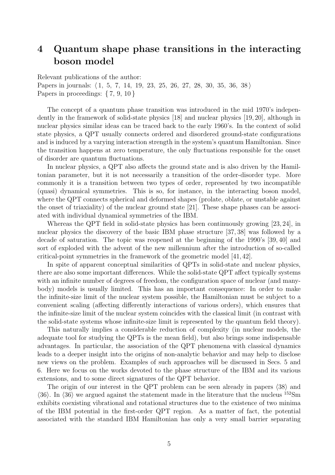# 4 Quantum shape phase transitions in the interacting boson model

Relevant publications of the author:

Papers in journals:  $\langle 1, 5, 7, 14, 19, 23, 25, 26, 27, 28, 30, 35, 36, 38 \rangle$ Papers in proceedings:  $\{7, 9, 10\}$ 

The concept of a quantum phase transition was introduced in the mid 1970's independently in the framework of solid-state physics [18] and nuclear physics [19, 20], although in nuclear physics similar ideas can be traced back to the early 1960's. In the context of solid state physics, a QPT usually connects ordered and disordered ground-state configurations and is induced by a varying interaction strength in the system's quantum Hamiltonian. Since the transition happens at zero temperature, the only fluctuations responsible for the onset of disorder are quantum fluctuations.

In nuclear physics, a QPT also affects the ground state and is also driven by the Hamiltonian parameter, but it is not necessarily a transition of the order-disorder type. More commonly it is a transition between two types of order, represented by two incompatible (quasi) dynamical symmetries. This is so, for instance, in the interacting boson model, where the QPT connects spherical and deformed shapes (prolate, oblate, or unstable against the onset of triaxiality) of the nuclear ground state [21]. These shape phases can be associated with individual dynamical symmetries of the IBM.

Whereas the QPT field in solid-state physics has been continuously growing [23, 24], in nuclear physics the discovery of the basic IBM phase structure [37, 38] was followed by a decade of saturation. The topic was reopened at the beginning of the 1990's [39, 40] and sort of exploded with the advent of the new millennium after the introduction of so-called critical-point symmetries in the framework of the geometric model [41, 42].

In spite of apparent conceptual similarities of QPTs in solid-state and nuclear physics, there are also some important differences. While the solid-state QPT affect typically systems with an infinite number of degrees of freedom, the configuration space of nuclear (and manybody) models is usually limited. This has an important consequence: In order to make the infinite-size limit of the nuclear system possible, the Hamiltonian must be subject to a convenient scaling (affecting differently interactions of various orders), which ensures that the infinite-size limit of the nuclear system coincides with the classical limit (in contrast with the solid-state systems whose infinite-size limit is represented by the quantum field theory).

This naturally implies a considerable reduction of complexity (in nuclear models, the adequate tool for studying the QPTs is the mean field), but also brings some indispensable advantages. In particular, the association of the QPT phenomena with classical dynamics leads to a deeper insight into the origins of non-analytic behavior and may help to disclose new views on the problem. Examples of such approaches will be discussed in Secs. 5 and 6. Here we focus on the works devoted to the phase structure of the IBM and its various extensions, and to some direct signatures of the QPT behavior.

The origin of our interest in the QPT problem can be seen already in papers  $\langle 38 \rangle$  and  $\langle 36 \rangle$ . In  $\langle 36 \rangle$  we argued against the statement made in the literature that the nucleus  $^{152}Sm$ exhibits coexisting vibrational and rotational structures due to the existence of two minima of the IBM potential in the first-order QPT region. As a matter of fact, the potential associated with the standard IBM Hamiltonian has only a very small barrier separating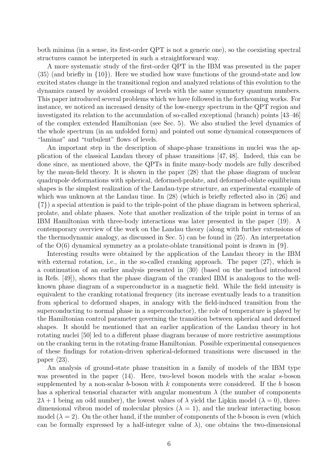both minima (in a sense, its first-order QPT is not a generic one), so the coexisting spectral structures cannot be interpreted in such a straightforward way.

A more systematic study of the first-order QPT in the IBM was presented in the paper  $\langle 35 \rangle$  (and briefly in  $\{10\}$ ). Here we studied how wave functions of the ground-state and low excited states change in the transitional region and analyzed relations of this evolution to the dynamics caused by avoided crossings of levels with the same symmetry quantum numbers. This paper introduced several problems which we have followed in the forthcoming works. For instance, we noticed an increased density of the low-energy spectrum in the QPT region and investigated its relation to the accumulation of so-called exceptional (branch) points [43–46] of the complex extended Hamiltonian (see Sec. 5). We also studied the level dynamics of the whole spectrum (in an unfolded form) and pointed out some dynamical consequences of "laminar" and "turbulent" flows of levels.

An important step in the description of shape-phase transitions in nuclei was the application of the classical Landau theory of phase transitions [47, 48]. Indeed, this can be done since, as mentioned above, the QPTs in finite many-body models are fully described by the mean-field theory. It is shown in the paper  $\langle 28 \rangle$  that the phase diagram of nuclear quadrupole deformations with spherical, deformed-prolate, and deformed-oblate equilibrium shapes is the simplest realization of the Landau-type structure, an experimental example of which was unknown at the Landau time. In  $\langle 28 \rangle$  (which is briefly reflected also in  $\langle 26 \rangle$  and {7}) a special attention is paid to the triple-point of the phase diagram in between spherical, prolate, and oblate phases. Note that another realization of the triple point in terms of an IBM Hamiltonian with three-body interactions was later presented in the paper  $\langle 19 \rangle$ . A contemporary overview of the work on the Landau theory (along with further extensions of the thermodynamic analogy, as discussed in Sec. 5) can be found in  $\langle 25 \rangle$ . An interpretation of the  $O(6)$  dynamical symmetry as a prolate-oblate transitional point is drawn in  $\{9\}$ .

Interesting results were obtained by the application of the Landau theory in the IBM with external rotation, i.e., in the so-called cranking approach. The paper  $\langle 27 \rangle$ , which is a continuation of an earlier analysis presented in  $\langle 30 \rangle$  (based on the method introduced in Refs. [49]), shows that the phase diagram of the cranked IBM is analogous to the wellknown phase diagram of a superconductor in a magnetic field. While the field intensity is equivalent to the cranking rotational frequency (its increase eventually leads to a transition from spherical to deformed shapes, in analogy with the field-induced transition from the superconducting to normal phase in a superconductor), the role of temperature is played by the Hamiltonian control parameter governing the transition between spherical and deformed shapes. It should be mentioned that an earlier application of the Landau theory in hot rotating nuclei [50] led to a different phase diagram because of more restrictive assumptions on the cranking term in the rotating-frame Hamiltonian. Possible experimental consequences of these findings for rotation-driven spherical-deformed transitions were discussed in the paper  $\langle 23 \rangle$ .

An analysis of ground-state phase transition in a family of models of the IBM type was presented in the paper  $\langle 14 \rangle$ . Here, two-level boson models with the scalar s-boson supplemented by a non-scalar b-boson with  $k$  components were considered. If the b boson has a spherical tensorial character with angular momentum  $\lambda$  (the number of components  $2\lambda + 1$  being an odd number), the lowest values of  $\lambda$  yield the Lipkin model  $(\lambda = 0)$ , threedimensional vibron model of molecular physics  $(\lambda = 1)$ , and the nuclear interacting boson model  $(\lambda = 2)$ . On the other hand, if the number of components of the b-boson is even (which can be formally expressed by a half-integer value of  $\lambda$ ), one obtains the two-dimensional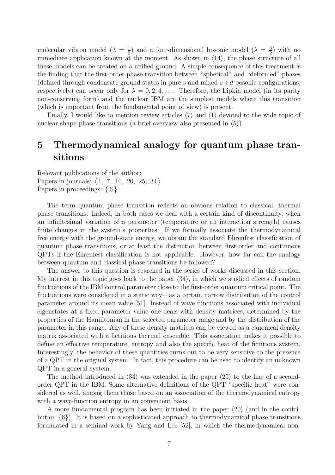molecular vibron model  $(\lambda = \frac{1}{2})$  $\frac{1}{2}$ ) and a four-dimensional bosonic model ( $\lambda = \frac{3}{2}$ )  $\frac{3}{2}$ ) with no immediate application known at the moment. As shown in  $\langle 14 \rangle$ , the phase structure of all these models can be treated on a unified ground. A simple consequence of this treatment is the finding that the first-order phase transition between "spherical" and "deformed" phases (defined through condensate ground states in pure s and mixed  $s+d$  bosonic configurations, respectively) can occur only for  $\lambda = 0, 2, 4, \ldots$ . Therefore, the Lipkin model (in its parity non-conserving form) and the nuclear IBM are the simplest models where this transition (which is important from the fundamental point of view) is present.

Finally, I would like to mention review articles  $\langle 7 \rangle$  and  $\langle 1 \rangle$  devoted to the wide topic of nuclear shape phase transitions (a brief overview also presented in  $(5)$ ).

### 5 Thermodynamical analogy for quantum phase transitions

Relevant publications of the author: Papers in journals:  $\langle 1, 7, 10, 20, 25, 34 \rangle$ Papers in proceedings: {6}

The term quantum phase transition reflects an obvious relation to classical, thermal phase transitions. Indeed, in both cases we deal with a certain kind of discontinuity, when an infinitesimal variation of a parameter (temperature or an interaction strength) causes finite changes in the system's properties. If we formally associate the thermodynamical free energy with the ground-state energy, we obtain the standard Ehrenfest classification of quantum phase transitions, or at least the distinction between first-order and continuous QPTs if the Ehrenfest classification is not applicable. However, how far can the analogy between quantum and classical phase transitions be followed?

The answer to this question is searched in the series of works discussed in this section. My interest in this topic goes back to the paper  $\langle 34 \rangle$ , in which we studied effects of random fluctuations of the IBM control parameter close to the first-order quantum critical point. The fluctuations were considered in a static way—as a certain narrow distribution of the control parameter around its mean value [51]. Instead of wave functions associated with individual eigenstates at a fixed parameter value one deals with density matrices, determined by the properties of the Hamiltonian in the selected parameter range and by the distribution of the parameter in this range. Any of these density matrices can be viewed as a canonical density matrix associated with a fictitious thermal ensemble. This association makes it possible to define an effective temperature, entropy and also the specific heat of the fictitious system. Interestingly, the behavior of these quantities turns out to be very sensitive to the presence of a QPT in the original system. In fact, this procedure can be used to identify an unknown QPT in a general system.

The method introduced in  $\langle 34 \rangle$  was extended in the paper  $\langle 25 \rangle$  to the line of a secondorder QPT in the IBM. Some alternative definitions of the QPT "specific heat" were considered as well, among them those based on an association of the thermodynamical entropy with a wave-function entropy in an convenient basis.

A more fundamental program has been initiated in the paper  $\langle 20 \rangle$  (and in the contribution {6}). It is based on a sophisticated approach to thermodynamical phase transitions formulated in a seminal work by Yang and Lee [52], in which the thermodynamical non-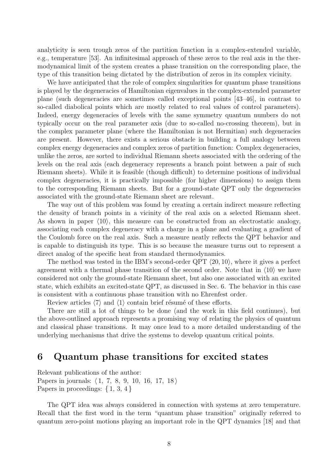analyticity is seen trough zeros of the partition function in a complex-extended variable, e.g., temperature [53]. An infinitesimal approach of these zeros to the real axis in the thermodynamical limit of the system creates a phase transition on the corresponding place, the type of this transition being dictated by the distribution of zeros in its complex vicinity.

We have anticipated that the role of complex singularities for quantum phase transitions is played by the degeneracies of Hamiltonian eigenvalues in the complex-extended parameter plane (such degeneracies are sometimes called exceptional points [43–46], in contrast to so-called diabolical points which are mostly related to real values of control parameters). Indeed, energy degeneracies of levels with the same symmetry quantum numbers do not typically occur on the real parameter axis (due to so-called no-crossing theorem), but in the complex parameter plane (where the Hamiltonian is not Hermitian) such degeneracies are present. However, there exists a serious obstacle in building a full analogy between complex energy degeneracies and complex zeros of partition function: Complex degeneracies, unlike the zeros, are sorted to individual Riemann sheets associated with the ordering of the levels on the real axis (each degeneracy represents a branch point between a pair of such Riemann sheets). While it is feasible (though difficult) to determine positions of individual complex degeneracies, it is practically impossible (for higher dimensions) to assign them to the corresponding Riemann sheets. But for a ground-state QPT only the degeneracies associated with the ground-state Riemann sheet are relevant.

The way out of this problem was found by creating a certain indirect measure reflecting the density of branch points in a vicinity of the real axis on a selected Riemann sheet. As shown in paper  $\langle 10 \rangle$ , this measure can be constructed from an electrostatic analogy, associating each complex degeneracy with a charge in a plane and evaluating a gradient of the Coulomb force on the real axis. Such a measure neatly reflects the QPT behavior and is capable to distinguish its type. This is so because the measure turns out to represent a direct analog of the specific heat from standard thermodynamics.

The method was tested in the IBM's second-order QPT  $\langle 20, 10 \rangle$ , where it gives a perfect agreement with a thermal phase transition of the second order. Note that in  $\langle 10 \rangle$  we have considered not only the ground-state Riemann sheet, but also one associated with an excited state, which exhibits an excited-state QPT, as discussed in Sec. 6. The behavior in this case is consistent with a continuous phase transition with no Ehrenfest order.

Review articles  $\langle 7 \rangle$  and  $\langle 1 \rangle$  contain brief résumé of these efforts.

There are still a lot of things to be done (and the work in this field continues), but the above-outlined approach represents a promising way of relating the physics of quantum and classical phase transitions. It may once lead to a more detailed understanding of the underlying mechanisms that drive the systems to develop quantum critical points.

#### 6 Quantum phase transitions for excited states

Relevant publications of the author: Papers in journals:  $\langle 1, 7, 8, 9, 10, 16, 17, 18 \rangle$ Papers in proceedings:  $\{1, 3, 4\}$ 

The QPT idea was always considered in connection with systems at zero temperature. Recall that the first word in the term "quantum phase transition" originally referred to quantum zero-point motions playing an important role in the QPT dynamics [18] and that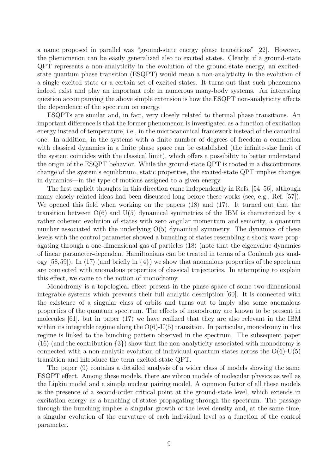a name proposed in parallel was "ground-state energy phase transitions" [22]. However, the phenomenon can be easily generalized also to excited states. Clearly, if a ground-state QPT represents a non-analyticity in the evolution of the ground-state energy, an excitedstate quantum phase transition (ESQPT) would mean a non-analyticity in the evolution of a single excited state or a certain set of excited states. It turns out that such phenomena indeed exist and play an important role in numerous many-body systems. An interesting question accompanying the above simple extension is how the ESQPT non-analyticity affects the dependence of the spectrum on energy.

ESQPTs are similar and, in fact, very closely related to thermal phase transitions. An important difference is that the former phenomenon is investigated as a function of excitation energy instead of temperature, i.e., in the microcanonical framework instead of the canonical one. In addition, in the systems with a finite number of degrees of freedom a connection with classical dynamics in a finite phase space can be established (the infinite-size limit of the system coincides with the classical limit), which offers a possibility to better understand the origin of the ESQPT behavior. While the ground-state QPT is rooted in a discontinuous change of the system's equilibrium, static properties, the excited-state QPT implies changes in dynamics—in the type of motions assigned to a given energy.

The first explicit thoughts in this direction came independently in Refs. [54–56], although many closely related ideas had been discussed long before these works (see, e.g., Ref. [57]). We opened this field when working on the papers  $\langle 18 \rangle$  and  $\langle 17 \rangle$ . It turned out that the transition between  $O(6)$  and  $U(5)$  dynamical symmetries of the IBM is characterized by a rather coherent evolution of states with zero angular momentum and seniority, a quantum number associated with the underlying  $O(5)$  dynamical symmetry. The dynamics of these levels with the control parameter showed a bunching of states resembling a shock wave propagating through a one-dimensional gas of particles  $\langle 18 \rangle$  (note that the eigenvalue dynamics of linear parameter-dependent Hamiltonians can be treated in terms of a Coulomb gas analogy  $[58,59]$ . In  $\langle 17 \rangle$  (and briefly in  $\{4\}$ ) we show that anomalous properties of the spectrum are connected with anomalous properties of classical trajectories. In attempting to explain this effect, we came to the notion of monodromy.

Monodromy is a topological effect present in the phase space of some two-dimensional integrable systems which prevents their full analytic description [60]. It is connected with the existence of a singular class of orbits and turns out to imply also some anomalous properties of the quantum spectrum. The effects of monodromy are known to be present in molecules [61], but in paper  $\langle 17 \rangle$  we have realized that they are also relevant in the IBM within its integrable regime along the  $O(6)-U(5)$  transition. In particular, monodromy in this regime is linked to the bunching pattern observed in the spectrum. The subsequent paper  $(16)$  (and the contribution  $\{3\}$ ) show that the non-analyticity associated with monodromy is connected with a non-analytic evolution of individual quantum states across the  $O(6)$ -U(5) transition and introduce the term excited-state QPT.

The paper  $\langle 9 \rangle$  contains a detailed analysis of a wider class of models showing the same ESQPT effect. Among these models, there are vibron models of molecular physics as well as the Lipkin model and a simple nuclear pairing model. A common factor of all these models is the presence of a second-order critical point at the ground-state level, which extends in excitation energy as a bunching of states propagating through the spectrum. The passage through the bunching implies a singular growth of the level density and, at the same time, a singular evolution of the curvature of each individual level as a function of the control parameter.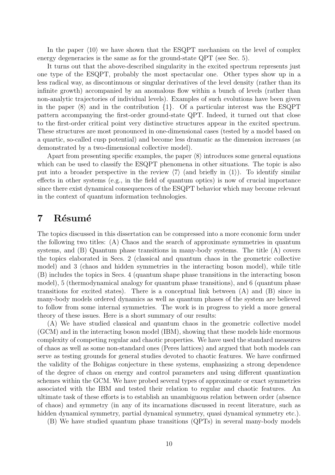In the paper  $\langle 10 \rangle$  we have shown that the ESQPT mechanism on the level of complex energy degeneracies is the same as for the ground-state QPT (see Sec. 5).

It turns out that the above-described singularity in the excited spectrum represents just one type of the ESQPT, probably the most spectacular one. Other types show up in a less radical way, as discontinuous or singular derivatives of the level density (rather than its infinite growth) accompanied by an anomalous flow within a bunch of levels (rather than non-analytic trajectories of individual levels). Examples of such evolutions have been given in the paper  $\langle 8 \rangle$  and in the contribution  $\{1\}$ . Of a particular interest was the ESQPT pattern accompanying the first-order ground-state QPT. Indeed, it turned out that close to the first-order critical point very distinctive structures appear in the excited spectrum. These structures are most pronounced in one-dimensional cases (tested by a model based on a quartic, so-called cusp potential) and become less dramatic as the dimension increases (as demonstrated by a two-dimensional collective model).

Apart from presenting specific examples, the paper  $\langle 8 \rangle$  introduces some general equations which can be used to classify the ESQPT phenomena in other situations. The topic is also put into a broader perspective in the review  $\langle 7 \rangle$  (and briefly in  $\langle 1 \rangle$ ). To identify similar effects in other systems (e.g., in the field of quantum optics) is now of crucial importance since there exist dynamical consequences of the ESQPT behavior which may become relevant in the context of quantum information technologies.

#### 7 Résumé

The topics discussed in this dissertation can be compressed into a more economic form under the following two titles: (A) Chaos and the search of approximate symmetries in quantum systems, and (B) Quantum phase transitions in many-body systems. The title (A) covers the topics elaborated in Secs. 2 (classical and quantum chaos in the geometric collective model) and 3 (chaos and hidden symmetries in the interacting boson model), while title (B) includes the topics in Secs. 4 (quantum shape phase transitions in the interacting boson model), 5 (thermodynamical analogy for quantum phase transitions), and 6 (quantum phase transitions for excited states). There is a conceptual link between (A) and (B) since in many-body models ordered dynamics as well as quantum phases of the system are believed to follow from some internal symmetries. The work is in progress to yield a more general theory of these issues. Here is a short summary of our results:

(A) We have studied classical and quantum chaos in the geometric collective model (GCM) and in the interacting boson model (IBM), showing that these models hide enormous complexity of competing regular and chaotic properties. We have used the standard measures of chaos as well as some non-standard ones (Peres lattices) and argued that both models can serve as testing grounds for general studies devoted to chaotic features. We have confirmed the validity of the Bohigas conjecture in these systems, emphasizing a strong dependence of the degree of chaos on energy and control parameters and using different quantization schemes within the GCM. We have probed several types of approximate or exact symmetries associated with the IBM and tested their relation to regular and chaotic features. An ultimate task of these efforts is to establish an unambiguous relation between order (absence of chaos) and symmetry (in any of its incarnations discussed in recent literature, such as hidden dynamical symmetry, partial dynamical symmetry, quasi dynamical symmetry etc.).

(B) We have studied quantum phase transitions (QPTs) in several many-body models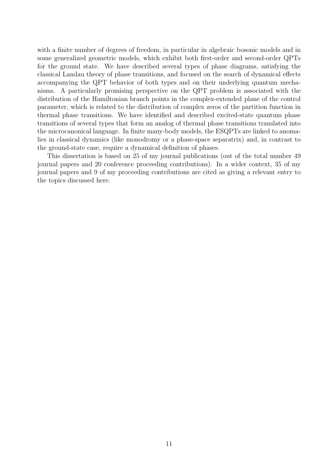with a finite number of degrees of freedom, in particular in algebraic bosonic models and in some generalized geometric models, which exhibit both first-order and second-order QPTs for the ground state. We have described several types of phase diagrams, satisfying the classical Landau theory of phase transitions, and focused on the search of dynamical effects accompanying the QPT behavior of both types and on their underlying quantum mechanisms. A particularly promising perspective on the QPT problem is associated with the distribution of the Hamiltonian branch points in the complex-extended plane of the control parameter, which is related to the distribution of complex zeros of the partition function in thermal phase transitions. We have identified and described excited-state quantum phase transitions of several types that form an analog of thermal phase transitions translated into the microcanonical language. In finite many-body models, the ESQPTs are linked to anomalies in classical dynamics (like monodromy or a phase-space separatrix) and, in contrast to the ground-state case, require a dynamical definition of phases.

This dissertation is based on 25 of my journal publications (out of the total number 49 journal papers and 20 conference proceeding contributions). In a wider context, 35 of my journal papers and 9 of my proceeding contributions are cited as giving a relevant entry to the topics discussed here.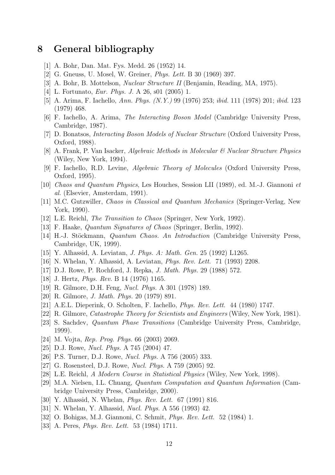### 8 General bibliography

- [1] A. Bohr, Dan. Mat. Fys. Medd. 26 (1952) 14.
- [2] G. Gneuss, U. Mosel, W. Greiner, Phys. Lett. B 30 (1969) 397.
- [3] A. Bohr, B. Mottelson, Nuclear Structure II (Benjamin, Reading, MA, 1975).
- [4] L. Fortunato, Eur. Phys. J. A 26, s01 (2005) 1.
- [5] A. Arima, F. Iachello, Ann. Phys. (N.Y.) 99 (1976) 253; ibid. 111 (1978) 201; ibid. 123 (1979) 468.
- [6] F. Iachello, A. Arima, The Interacting Boson Model (Cambridge University Press, Cambridge, 1987).
- [7] D. Bonatsos, Interacting Boson Models of Nuclear Structure (Oxford University Press, Oxford, 1988).
- [8] A. Frank, P. Van Isacker, Algebraic Methods in Molecular & Nuclear Structure Physics (Wiley, New York, 1994).
- [9] F. Iachello, R.D. Levine, Algebraic Theory of Molecules (Oxford University Press, Oxford, 1995).
- [10] Chaos and Quantum Physics, Les Houches, Session LII (1989), ed. M.-J. Giannoni et al. (Elsevier, Amsterdam, 1991).
- [11] M.C. Gutzwiller, Chaos in Classical and Quantum Mechanics (Springer-Verlag, New York, 1990).
- [12] L.E. Reichl, *The Transition to Chaos* (Springer, New York, 1992).
- [13] F. Haake, Quantum Signatures of Chaos (Springer, Berlin, 1992).
- [14] H.-J. Stöckmann, *Quantum Chaos. An Introduction* (Cambridge University Press, Cambridge, UK, 1999).
- [15] Y. Alhassid, A. Leviatan, J. Phys. A: Math. Gen. 25 (1992) L1265.
- [16] N. Whelan, Y. Alhassid, A. Leviatan, Phys. Rev. Lett. 71 (1993) 2208.
- [17] D.J. Rowe, P. Rochford, J. Repka, J. Math. Phys. 29 (1988) 572.
- [18] J. Hertz, Phys. Rev. B 14 (1976) 1165.
- [19] R. Gilmore, D.H. Feng, Nucl. Phys. A 301 (1978) 189.
- [20] R. Gilmore, J. Math. Phys. 20 (1979) 891.
- [21] A.E.L. Dieperink, O. Scholten, F. Iachello, Phys. Rev. Lett. 44 (1980) 1747.
- [22] R. Gilmore, Catastrophe Theory for Scientists and Engineers (Wiley, New York, 1981).
- [23] S. Sachdev, Quantum Phase Transitions (Cambridge University Press, Cambridge, 1999).
- [24] M. Vojta, Rep. Prog. Phys. 66 (2003) 2069.
- [25] D.J. Rowe, Nucl. Phys. A 745 (2004) 47.
- [26] P.S. Turner, D.J. Rowe, Nucl. Phys. A 756 (2005) 333.
- [27] G. Rosensteel, D.J. Rowe, Nucl. Phys. A 759 (2005) 92.
- [28] L.E. Reichl, A Modern Course in Statistical Physics (Wiley, New York, 1998).
- [29] M.A. Nielsen, I.L. Chuang, Quantum Computation and Quantum Information (Cambridge University Press, Cambridge, 2000).
- [30] Y. Alhassid, N. Whelan, Phys. Rev. Lett. 67 (1991) 816.
- [31] N. Whelan, Y. Alhassid, Nucl. Phys. A 556 (1993) 42.
- [32] O. Bohigas, M.J. Giannoni, C. Schmit, Phys. Rev. Lett. 52 (1984) 1.
- [33] A. Peres, *Phys. Rev. Lett.* 53 (1984) 1711.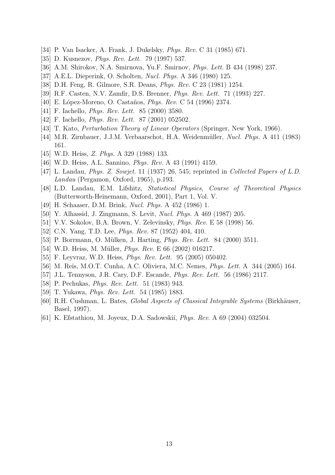- [34] P. Van Isacker, A. Frank, J. Dukelsky, Phys. Rev. C 31 (1985) 671.
- [35] D. Kusnezov, *Phys. Rev. Lett.* 79 (1997) 537.
- [36] A.M. Shirokov, N.A. Smirnova, Yu.F. Smirnov, Phys. Lett. B 434 (1998) 237.
- [37] A.E.L. Dieperink, O. Scholten, Nucl. Phys. A 346 (1980) 125.
- [38] D.H. Feng, R. Gilmore, S.R. Deans, Phys. Rev. C 23 (1981) 1254.
- [39] R.F. Casten, N.V. Zamfir, D.S. Brenner, Phys. Rev. Lett. 71 (1993) 227.
- [40] E. López-Moreno, O. Castaños, *Phys. Rev.* C 54 (1996) 2374.
- [41] F. Iachello, *Phys. Rev. Lett.* 85 (2000) 3580.
- [42] F. Iachello, *Phys. Rev. Lett.* 87 (2001) 052502.
- [43] T. Kato, *Perturbation Theory of Linear Operators* (Springer, New York, 1966).
- [44] M.R. Zirnbauer, J.J.M. Verbaarschot, H.A. Weidenmüller, *Nucl. Phys.* A 411 (1983) 161.
- [45] W.D. Heiss, Z. Phys. A 329 (1988) 133.
- [46] W.D. Heiss, A.L. Sannino, Phys. Rev. A 43 (1991) 4159.
- [47] L. Landau, Phys. Z. Sowjet. 11 (1937) 26, 545; reprinted in Collected Papers of L.D. Landau (Pergamon, Oxford, 1965), p.193.
- [48] L.D. Landau, E.M. Lifshitz, Statistical Physics, Course of Theoretical Physics (Butterworth-Heinemann, Oxford, 2001), Part 1, Vol. V.
- [49] H. Schaaser, D.M. Brink, Nucl. Phys. A 452 (1986) 1.
- [50] Y. Alhassid, J. Zingmann, S. Levit, Nucl. Phys. A 469 (1987) 205.
- [51] V.V. Sokolov, B.A. Brown, V. Zelevinsky, Phys. Rev. E 58 (1998) 56.
- [52] C.N. Yang, T.D. Lee, Phys. Rev. 87 (1952) 404, 410.
- [53] P. Borrmann, O. Mülken, J. Harting, *Phys. Rev. Lett.* 84 (2000) 3511.
- [54] W.D. Heiss, M. Müller, *Phys. Rev.* E 66 (2002) 016217.
- [55] F. Leyvraz, W.D. Heiss, *Phys. Rev. Lett.* 95 (2005) 050402.
- [56] M. Reis, M.O.T. Cunha, A.C. Oliviera, M.C. Nemes, Phys. Lett. A 344 (2005) 164.
- [57] J.L. Tennyson, J.R. Cary, D.F. Escande, Phys. Rev. Lett. 56 (1986) 2117.
- [58] P. Pechukas, Phys. Rev. Lett. 51 (1983) 943.
- [59] T. Yukawa, Phys. Rev. Lett. 54 (1985) 1883.
- [60] R.H. Cushman, L. Bates, *Global Aspects of Classical Integrable Systems* (Birkhäuser, Basel, 1997).
- [61] K. Efstathiou, M. Joyeux, D.A. Sadowskií, *Phys. Rev.* A 69 (2004) 032504.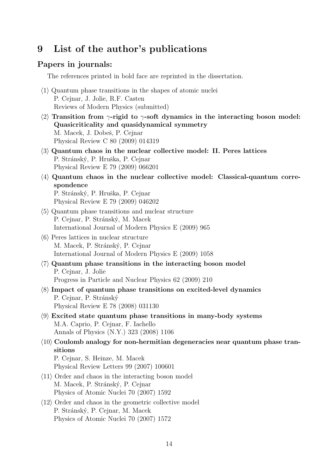### 9 List of the author's publications

#### Papers in journals:

The references printed in bold face are reprinted in the dissertation.

- $\langle 1 \rangle$  Quantum phase transitions in the shapes of atomic nuclei P. Cejnar, J. Jolie, R.F. Casten Reviews of Modern Physics (submitted)
- $\langle 2 \rangle$  Transition from  $\gamma$ -rigid to  $\gamma$ -soft dynamics in the interacting boson model: Quasicriticality and quasidynamical symmetry M. Macek, J. Dobeš, P. Ceinar Physical Review C 80 (2009) 014319
- $\langle 3 \rangle$  Quantum chaos in the nuclear collective model: II. Peres lattices P. Stránský, P. Hruška, P. Cejnar Physical Review E 79 (2009) 066201
- $\langle 4 \rangle$  Quantum chaos in the nuclear collective model: Classical-quantum correspondence P. Stránský, P. Hruška, P. Cejnar Physical Review E 79 (2009) 046202
- $\langle 5 \rangle$  Quantum phase transitions and nuclear structure P. Cejnar, P. Stránský, M. Macek International Journal of Modern Physics E (2009) 965
- $\langle 6 \rangle$  Peres lattices in nuclear structure M. Macek, P. Stránský, P. Cejnar International Journal of Modern Physics E (2009) 1058
- $\langle 7 \rangle$  Quantum phase transitions in the interacting boson model P. Cejnar, J. Jolie Progress in Particle and Nuclear Physics 62 (2009) 210
- $\langle 8 \rangle$  Impact of quantum phase transitions on excited-level dynamics P. Cejnar, P. Stránský Physical Review E 78 (2008) 031130
- $\langle 9 \rangle$  Excited state quantum phase transitions in many-body systems M.A. Caprio, P. Cejnar, F. Iachello Annals of Physics (N.Y.) 323 (2008) 1106
- $\langle 10 \rangle$  Coulomb analogy for non-hermitian degeneracies near quantum phase transitions P. Cejnar, S. Heinze, M. Macek
	- Physical Review Letters 99 (2007) 100601
- $\langle 11 \rangle$  Order and chaos in the interacting boson model M. Macek, P. Stránský, P. Cejnar Physics of Atomic Nuclei 70 (2007) 1592
- $\langle 12 \rangle$  Order and chaos in the geometric collective model P. Stránský, P. Cejnar, M. Macek Physics of Atomic Nuclei 70 (2007) 1572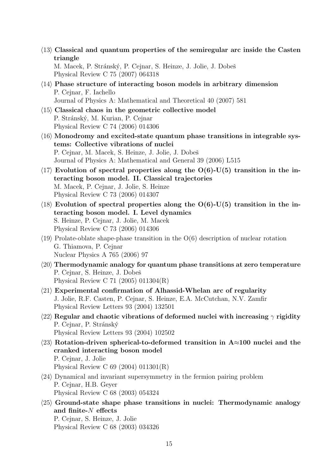$\langle 13 \rangle$  Classical and quantum properties of the semiregular arc inside the Casten triangle

M. Macek, P. Stránský, P. Cejnar, S. Heinze, J. Jolie, J. Dobeš Physical Review C 75 (2007) 064318

- $\langle 14 \rangle$  Phase structure of interacting boson models in arbitrary dimension P. Cejnar, F. Iachello Journal of Physics A: Mathematical and Theoretical 40 (2007) 581
- $\langle 15 \rangle$  Classical chaos in the geometric collective model P. Stránský, M. Kurian, P. Cejnar Physical Review C 74 (2006) 014306
- $\langle 16 \rangle$  Monodromy and excited-state quantum phase transitions in integrable systems: Collective vibrations of nuclei P. Cejnar, M. Macek, S. Heinze, J. Jolie, J. Dobeš Journal of Physics A: Mathematical and General 39 (2006) L515
- $\langle 17 \rangle$  Evolution of spectral properties along the O(6)-U(5) transition in the interacting boson model. II. Classical trajectories M. Macek, P. Cejnar, J. Jolie, S. Heinze Physical Review C 73 (2006) 014307
- $\langle 18 \rangle$  Evolution of spectral properties along the O(6)-U(5) transition in the interacting boson model. I. Level dynamics S. Heinze, P. Cejnar, J. Jolie, M. Macek Physical Review C 73 (2006) 014306
- $\langle 19 \rangle$  Prolate-oblate shape-phase transition in the O(6) description of nuclear rotation G. Thiamova, P. Cejnar Nuclear Physics A 765 (2006) 97
- $\langle 20 \rangle$  Thermodynamic analogy for quantum phase transitions at zero temperature P. Cejnar, S. Heinze, J. Dobeš Physical Review C 71 (2005) 011304(R)
- $\langle 21 \rangle$  Experimental confirmation of Alhassid-Whelan arc of regularity J. Jolie, R.F. Casten, P. Cejnar, S. Heinze, E.A. McCutchan, N.V. Zamfir Physical Review Letters 93 (2004) 132501
- $\langle 22 \rangle$  Regular and chaotic vibrations of deformed nuclei with increasing  $\gamma$  rigidity P. Cejnar, P. Stránský Physical Review Letters 93 (2004) 102502
- $\langle 23 \rangle$  Rotation-driven spherical-to-deformed transition in A≈100 nuclei and the cranked interacting boson model P. Cejnar, J. Jolie Physical Review C 69 (2004) 011301(R)
- $\langle 24 \rangle$  Dynamical and invariant supersymmetry in the fermion pairing problem P. Cejnar, H.B. Geyer Physical Review C 68 (2003) 054324
- $\langle 25 \rangle$  Ground-state shape phase transitions in nuclei: Thermodynamic analogy and finite-N effects P. Cejnar, S. Heinze, J. Jolie Physical Review C 68 (2003) 034326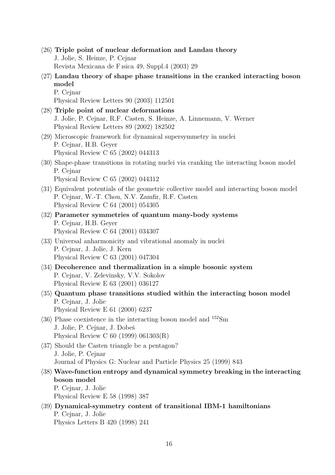- $\langle 26 \rangle$  Triple point of nuclear deformation and Landau theory J. Jolie, S. Heinze, P. Cejnar Revista Mexicana de F ısica 49, Suppl.4 (2003) 29
- $\langle 27 \rangle$  Landau theory of shape phase transitions in the cranked interacting boson model P. Cejnar

Physical Review Letters 90 (2003) 112501

 $\langle 28 \rangle$  Triple point of nuclear deformations J. Jolie, P. Cejnar, R.F. Casten, S. Heinze, A. Linnemann, V. Werner Physical Review Letters 89 (2002) 182502  $\langle 29 \rangle$  Microscopic framework for dynamical supersymmetry in nuclei P. Cejnar, H.B. Geyer

Physical Review C 65 (2002) 044313

 $\langle 30 \rangle$  Shape-phase transitions in rotating nuclei via cranking the interacting boson model P. Cejnar

Physical Review C 65 (2002) 044312

- $\langle 31 \rangle$  Equivalent potentials of the geometric collective model and interacting boson model P. Cejnar, W.-T. Chou, N.V. Zamfir, R.F. Casten Physical Review C 64 (2001) 054305
- $\langle 32 \rangle$  Parameter symmetries of quantum many-body systems P. Cejnar, H.B. Geyer Physical Review C 64 (2001) 034307
- $\langle 33 \rangle$  Universal anharmonicity and vibrational anomaly in nuclei P. Cejnar, J. Jolie, J. Kern Physical Review C 63 (2001) 047304
- $\langle 34 \rangle$  Decoherence and thermalization in a simple bosonic system P. Cejnar, V. Zelevinsky, V.V. Sokolov Physical Review E 63 (2001) 036127
- $\langle 35 \rangle$  Quantum phase transitions studied within the interacting boson model P. Cejnar, J. Jolie Physical Review E 61 (2000) 6237
- $\langle 36 \rangle$  Phase coexistence in the interacting boson model and  $^{152}$ Sm J. Jolie, P. Cejnar, J. Dobeš Physical Review C 60 (1999) 061303(R)
- $\langle 37 \rangle$  Should the Casten triangle be a pentagon? J. Jolie, P. Cejnar Journal of Physics G: Nuclear and Particle Physics 25 (1999) 843
- $\langle 38 \rangle$  Wave-function entropy and dynamical symmetry breaking in the interacting boson model

P. Cejnar, J. Jolie Physical Review E 58 (1998) 387

 $\langle 39 \rangle$  Dynamical-symmetry content of transitional IBM-1 hamiltonians P. Cejnar, J. Jolie Physics Letters B 420 (1998) 241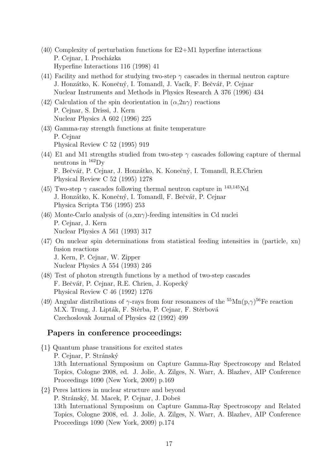- $\langle 40 \rangle$  Complexity of perturbation functions for E2+M1 hyperfine interactions P. Cejnar, I. Procházka Hyperfine Interactions 116 (1998) 41
- $\langle 41 \rangle$  Facility and method for studying two-step  $\gamma$  cascades in thermal neutron capture J. Honzátko, K. Konečný, I. Tomandl, J. Vacík, F. Bečvář, P. Cejnar Nuclear Instruments and Methods in Physics Research A 376 (1996) 434
- $\langle 42 \rangle$  Calculation of the spin deorientation in  $(\alpha, 2n\gamma)$  reactions P. Cejnar, S. Drissi, J. Kern Nuclear Physics A 602 (1996) 225
- $\langle 43 \rangle$  Gamma-ray strength functions at finite temperature P. Cejnar Physical Review C 52 (1995) 919
- $\langle 44 \rangle$  E1 and M1 strengths studied from two-step  $\gamma$  cascades following capture of thermal neutrons in  $^{162}$ Dy F. Bečvář, P. Cejnar, J. Honzátko, K. Konečný, I. Tomandl, R.E.Chrien Physical Review C 52 (1995) 1278
- $\langle 45 \rangle$  Two-step  $\gamma$  cascades following thermal neutron capture in <sup>143,145</sup>Nd J. Honzátko, K. Konečný, I. Tomandl, F. Bečvář, P. Cejnar Physica Scripta T56 (1995) 253
- $\langle 46 \rangle$  Monte-Carlo analysis of  $(\alpha, \text{xn}\gamma)$ -feeding intensities in Cd nuclei P. Cejnar, J. Kern Nuclear Physics A 561 (1993) 317
- $\langle 47 \rangle$  On nuclear spin determinations from statistical feeding intensities in (particle, xn) fusion reactions J. Kern, P. Cejnar, W. Zipper Nuclear Physics A 554 (1993) 246
- $\langle 48 \rangle$  Test of photon strength functions by a method of two-step cascades F. Bečvář, P. Cejnar, R.E. Chrien, J. Kopecký Physical Review C 46 (1992) 1276
- $\langle 49 \rangle$  Angular distributions of  $\gamma$ -rays from four resonances of the <sup>55</sup>Mn(p, $\gamma$ )<sup>56</sup>Fe reaction M.X. Trung, J. Lipták, F. Stěrba, P. Cejnar, F. Stěrbová Czechoslovak Journal of Physics 42 (1992) 499

#### Papers in conference proceedings:

- {1} Quantum phase transitions for excited states P. Cejnar, P. Stránský 13th International Symposium on Capture Gamma-Ray Spectroscopy and Related Topics, Cologne 2008, ed. J. Jolie, A. Zilges, N. Warr, A. Blazhev, AIP Conference Proceedings 1090 (New York, 2009) p.169
- {2} Peres lattices in nuclear structure and beyond P. Stránský, M. Macek, P. Cejnar, J. Dobeš 13th International Symposium on Capture Gamma-Ray Spectroscopy and Related Topics, Cologne 2008, ed. J. Jolie, A. Zilges, N. Warr, A. Blazhev, AIP Conference Proceedings 1090 (New York, 2009) p.174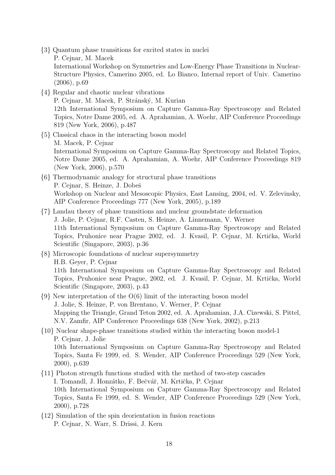- {3} Quantum phase transitions for excited states in nuclei P. Cejnar, M. Macek International Workshop on Symmetries and Low-Energy Phase Transitions in Nuclear-Structure Physics, Camerino 2005, ed. Lo Bianco, Internal report of Univ. Camerino (2006), p.69
- {4} Regular and chaotic nuclear vibrations P. Cejnar, M. Macek, P. Stránský, M. Kurian 12th International Symposium on Capture Gamma-Ray Spectroscopy and Related Topics, Notre Dame 2005, ed. A. Aprahamian, A. Woehr, AIP Conference Proceedings 819 (New York, 2006), p.487
- {5} Classical chaos in the interacting boson model M. Macek, P. Cejnar International Symposium on Capture Gamma-Ray Spectroscopy and Related Topics, Notre Dame 2005, ed. A. Aprahamian, A. Woehr, AIP Conference Proceedings 819 (New York, 2006), p.570
- {6} Thermodynamic analogy for structural phase transitions P. Cejnar, S. Heinze, J. Dobeš Workshop on Nuclear and Mesoscopic Physics, East Lansing, 2004, ed. V. Zelevinsky, AIP Conference Proceedings 777 (New York, 2005), p.189
- {7} Landau theory of phase transitions and nuclear groundstate deformation J. Jolie, P. Cejnar, R.F. Casten, S. Heinze, A. Linnemann, V. Werner 11th International Symposium on Capture Gamma-Ray Spectroscopy and Related Topics, Pruhonice near Prague 2002, ed. J. Kvasil, P. Cejnar, M. Krtička, World Scientific (Singapore, 2003), p.36
- {8} Microscopic foundations of nuclear supersymmetry H.B. Geyer, P. Cejnar 11th International Symposium on Capture Gamma-Ray Spectroscopy and Related Topics, Pruhonice near Prague, 2002, ed. J. Kvasil, P. Cejnar, M. Krtička, World Scientific (Singapore, 2003), p.43
- {9} New interpretation of the O(6) limit of the interacting boson model J. Jolie, S. Heinze, P. von Brentano, V. Werner, P. Cejnar Mapping the Triangle, Grand Teton 2002, ed. A. Aprahamian, J.A. Cizewski, S. Pittel, N.V. Zamfir, AIP Conference Proceedings 638 (New York, 2002), p.213
- {10} Nuclear shape-phase transitions studied within the interacting boson model-1 P. Cejnar, J. Jolie 10th International Symposium on Capture Gamma-Ray Spectroscopy and Related Topics, Santa Fe 1999, ed. S. Wender, AIP Conference Proceedings 529 (New York, 2000), p.639
- {11} Photon strength functions studied with the method of two-step cascades I. Tomandl, J. Honzátko, F. Bečvář, M. Krtička, P. Cejnar 10th International Symposium on Capture Gamma-Ray Spectroscopy and Related Topics, Santa Fe 1999, ed. S. Wender, AIP Conference Proceedings 529 (New York, 2000), p.728
- {12} Simulation of the spin deorientation in fusion reactions P. Cejnar, N. Warr, S. Drissi, J. Kern